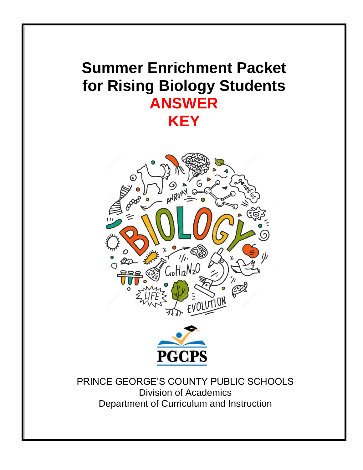## **Summer Enrichment Packet for Rising Biology Students ANSWER KEY**





PRINCE GEORGE'S COUNTY PUBLIC SCHOOLS Division of Academics Department of Curriculum and Instruction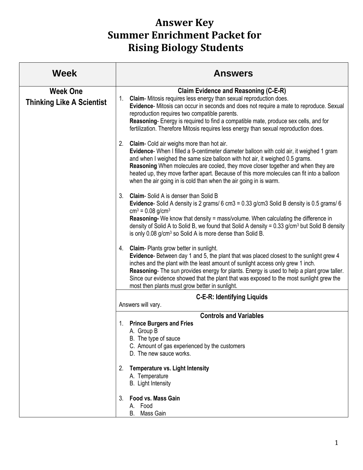## **Answer Key Summer Enrichment Packet for Rising Biology Students**

| <b>Week</b>                                         | <b>Answers</b>                                                                                                                                                                                                                                                                                                                                                                                                                                                                 |
|-----------------------------------------------------|--------------------------------------------------------------------------------------------------------------------------------------------------------------------------------------------------------------------------------------------------------------------------------------------------------------------------------------------------------------------------------------------------------------------------------------------------------------------------------|
| <b>Week One</b><br><b>Thinking Like A Scientist</b> | <b>Claim Evidence and Reasoning (C-E-R)</b><br>1. Claim-Mitosis requires less energy than sexual reproduction does.<br>Evidence- Mitosis can occur in seconds and does not require a mate to reproduce. Sexual<br>reproduction requires two compatible parents.<br>Reasoning- Energy is required to find a compatible mate, produce sex cells, and for<br>fertilization. Therefore Mitosis requires less energy than sexual reproduction does.                                 |
|                                                     | 2. Claim- Cold air weighs more than hot air.<br>Evidence- When I filled a 9-centimeter diameter balloon with cold air, it weighed 1 gram<br>and when I weighed the same size balloon with hot air, it weighed 0.5 grams.<br>Reasoning When molecules are cooled, they move closer together and when they are<br>heated up, they move farther apart. Because of this more molecules can fit into a balloon<br>when the air going in is cold than when the air going in is warm. |
|                                                     | 3 <sub>1</sub><br><b>Claim-</b> Solid A is denser than Solid B<br>Evidence- Solid A density is 2 grams/ 6 cm3 = 0.33 g/cm3 Solid B density is 0.5 grams/ 6<br>$cm3 = 0.08$ g/cm <sup>3</sup><br>Reasoning- We know that density = mass/volume. When calculating the difference in<br>density of Solid A to Solid B, we found that Solid A density = 0.33 g/cm <sup>3</sup> but Solid B density<br>is only 0.08 g/cm <sup>3</sup> so Solid A is more dense than Solid B.        |
|                                                     | 4. Claim-Plants grow better in sunlight.<br>Evidence- Between day 1 and 5, the plant that was placed closest to the sunlight grew 4<br>inches and the plant with the least amount of sunlight access only grew 1 inch.<br>Reasoning- The sun provides energy for plants. Energy is used to help a plant grow taller.<br>Since our evidence showed that the plant that was exposed to the most sunlight grew the<br>most then plants must grow better in sunlight.              |
|                                                     | <b>C-E-R: Identifying Liquids</b>                                                                                                                                                                                                                                                                                                                                                                                                                                              |
|                                                     | Answers will vary.<br><b>Controls and Variables</b>                                                                                                                                                                                                                                                                                                                                                                                                                            |
|                                                     | <b>Prince Burgers and Fries</b><br>1.<br>A. Group B<br>B. The type of sauce<br>C. Amount of gas experienced by the customers<br>D. The new sauce works.                                                                                                                                                                                                                                                                                                                        |
|                                                     | <b>Temperature vs. Light Intensity</b><br>2.<br>A. Temperature<br>B. Light Intensity                                                                                                                                                                                                                                                                                                                                                                                           |
|                                                     | <b>Food vs. Mass Gain</b><br>3.<br>A. Food<br><b>B.</b><br>Mass Gain                                                                                                                                                                                                                                                                                                                                                                                                           |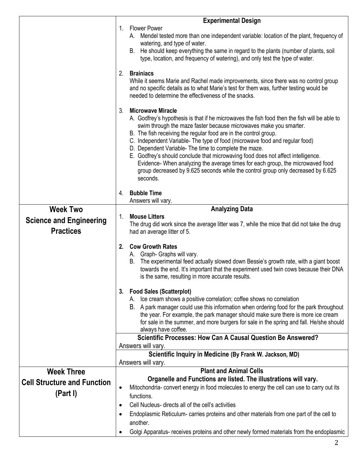|                                    | <b>Experimental Design</b>                                                                                                                                                                                                                                                                                                                                                                                                                                                                                                                                                            |
|------------------------------------|---------------------------------------------------------------------------------------------------------------------------------------------------------------------------------------------------------------------------------------------------------------------------------------------------------------------------------------------------------------------------------------------------------------------------------------------------------------------------------------------------------------------------------------------------------------------------------------|
|                                    | <b>Flower Power</b><br>1.<br>A. Mendel tested more than one independent variable: location of the plant, frequency of                                                                                                                                                                                                                                                                                                                                                                                                                                                                 |
|                                    | watering, and type of water.                                                                                                                                                                                                                                                                                                                                                                                                                                                                                                                                                          |
|                                    | B. He should keep everything the same in regard to the plants (number of plants, soil<br>type, location, and frequency of watering), and only test the type of water.                                                                                                                                                                                                                                                                                                                                                                                                                 |
|                                    | <b>Brainiacs</b><br>2.                                                                                                                                                                                                                                                                                                                                                                                                                                                                                                                                                                |
|                                    | While it seems Marie and Rachel made improvements, since there was no control group<br>and no specific details as to what Marie's test for them was, further testing would be<br>needed to determine the effectiveness of the snacks.                                                                                                                                                                                                                                                                                                                                                 |
|                                    | <b>Microwave Miracle</b><br>3.<br>A. Godfrey's hypothesis is that if he microwaves the fish food then the fish will be able to<br>swim through the maze faster because microwaves make you smarter.<br>B. The fish receiving the regular food are in the control group.<br>C. Independent Variable- The type of food (microwave food and regular food)<br>D. Dependent Variable- The time to complete the maze.<br>E. Godfrey's should conclude that microwaving food does not affect intelligence.<br>Evidence- When analyzing the average times for each group, the microwaved food |
|                                    | group decreased by 9.625 seconds while the control group only decreased by 6.625<br>seconds.                                                                                                                                                                                                                                                                                                                                                                                                                                                                                          |
|                                    |                                                                                                                                                                                                                                                                                                                                                                                                                                                                                                                                                                                       |
|                                    | <b>Bubble Time</b><br>4.<br>Answers will vary.                                                                                                                                                                                                                                                                                                                                                                                                                                                                                                                                        |
| <b>Week Two</b>                    | <b>Analyzing Data</b>                                                                                                                                                                                                                                                                                                                                                                                                                                                                                                                                                                 |
| <b>Science and Engineering</b>     | <b>Mouse Litters</b><br>1.<br>The drug did work since the average litter was 7, while the mice that did not take the drug                                                                                                                                                                                                                                                                                                                                                                                                                                                             |
| <b>Practices</b>                   | had an average litter of 5.                                                                                                                                                                                                                                                                                                                                                                                                                                                                                                                                                           |
|                                    | <b>Cow Growth Rates</b><br>2.<br>A. Graph- Graphs will vary.<br>The experimental feed actually slowed down Bessie's growth rate, with a giant boost<br>В.<br>towards the end. It's important that the experiment used twin cows because their DNA<br>is the same, resulting in more accurate results.                                                                                                                                                                                                                                                                                 |
|                                    | <b>Food Sales (Scatterplot)</b><br>3.                                                                                                                                                                                                                                                                                                                                                                                                                                                                                                                                                 |
|                                    | A. Ice cream shows a positive correlation; coffee shows no correlation<br>B. A park manager could use this information when ordering food for the park throughout<br>the year. For example, the park manager should make sure there is more ice cream<br>for sale in the summer, and more burgers for sale in the spring and fall. He/she should<br>always have coffee.                                                                                                                                                                                                               |
|                                    | Scientific Processes: How Can A Causal Question Be Answered?                                                                                                                                                                                                                                                                                                                                                                                                                                                                                                                          |
|                                    | Answers will vary.<br>Scientific Inquiry in Medicine (By Frank W. Jackson, MD)                                                                                                                                                                                                                                                                                                                                                                                                                                                                                                        |
|                                    | Answers will vary.                                                                                                                                                                                                                                                                                                                                                                                                                                                                                                                                                                    |
| <b>Week Three</b>                  | <b>Plant and Animal Cells</b>                                                                                                                                                                                                                                                                                                                                                                                                                                                                                                                                                         |
| <b>Cell Structure and Function</b> | Organelle and Functions are listed. The illustrations will vary.                                                                                                                                                                                                                                                                                                                                                                                                                                                                                                                      |
| (Part I)                           | Mitochondria- convert energy in food molecules to energy the cell can use to carry out its<br>$\bullet$<br>functions.                                                                                                                                                                                                                                                                                                                                                                                                                                                                 |
|                                    | Cell Nucleus- directs all of the cell's activities                                                                                                                                                                                                                                                                                                                                                                                                                                                                                                                                    |
|                                    | Endoplasmic Reticulum- carries proteins and other materials from one part of the cell to<br>$\bullet$                                                                                                                                                                                                                                                                                                                                                                                                                                                                                 |
|                                    | another.                                                                                                                                                                                                                                                                                                                                                                                                                                                                                                                                                                              |
|                                    | Golgi Apparatus- receives proteins and other newly formed materials from the endoplasmic                                                                                                                                                                                                                                                                                                                                                                                                                                                                                              |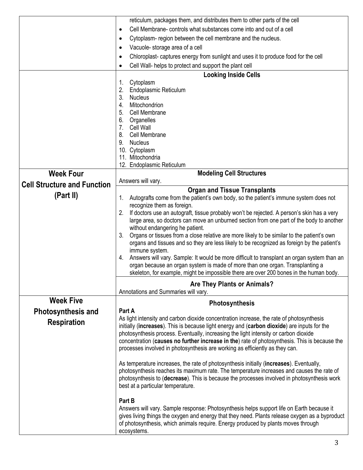|                                    | reticulum, packages them, and distributes them to other parts of the cell                                                                                                                    |
|------------------------------------|----------------------------------------------------------------------------------------------------------------------------------------------------------------------------------------------|
|                                    | Cell Membrane-controls what substances come into and out of a cell<br>$\bullet$                                                                                                              |
|                                    | Cytoplasm-region between the cell membrane and the nucleus.<br>٠                                                                                                                             |
|                                    | Vacuole-storage area of a cell<br>$\bullet$                                                                                                                                                  |
|                                    | Chloroplast- captures energy from sunlight and uses it to produce food for the cell<br>٠                                                                                                     |
|                                    | Cell Wall- helps to protect and support the plant cell<br>٠                                                                                                                                  |
|                                    | <b>Looking Inside Cells</b>                                                                                                                                                                  |
|                                    | Cytoplasm<br>1.                                                                                                                                                                              |
|                                    | 2.<br>Endoplasmic Reticulum                                                                                                                                                                  |
|                                    | 3.<br><b>Nucleus</b>                                                                                                                                                                         |
|                                    | Mitochondrion<br>4.                                                                                                                                                                          |
|                                    | 5.<br>Cell Membrane                                                                                                                                                                          |
|                                    | 6.<br>Organelles                                                                                                                                                                             |
|                                    | 7.<br>Cell Wall                                                                                                                                                                              |
|                                    | 8.<br>Cell Membrane<br>9.<br><b>Nucleus</b>                                                                                                                                                  |
|                                    | 10. Cytoplasm                                                                                                                                                                                |
|                                    | 11. Mitochondria                                                                                                                                                                             |
|                                    | 12. Endoplasmic Reticulum                                                                                                                                                                    |
| <b>Week Four</b>                   | <b>Modeling Cell Structures</b>                                                                                                                                                              |
| <b>Cell Structure and Function</b> | Answers will vary.                                                                                                                                                                           |
|                                    | <b>Organ and Tissue Transplants</b>                                                                                                                                                          |
| (Part II)                          | Autografts come from the patient's own body, so the patient's immune system does not<br>1.                                                                                                   |
|                                    | recognize them as foreign.                                                                                                                                                                   |
|                                    | If doctors use an autograft, tissue probably won't be rejected. A person's skin has a very<br>2.<br>large area, so doctors can move an unburned section from one part of the body to another |
|                                    | without endangering he patient.                                                                                                                                                              |
|                                    | Organs or tissues from a close relative are more likely to be similar to the patient's own<br>3.                                                                                             |
|                                    | organs and tissues and so they are less likely to be recognized as foreign by the patient's                                                                                                  |
|                                    | immune system.                                                                                                                                                                               |
|                                    | Answers will vary. Sample: It would be more difficult to transplant an organ system than an<br>4.                                                                                            |
|                                    | organ because an organ system is made of more than one organ. Transplanting a                                                                                                                |
|                                    | skeleton, for example, might be impossible there are over 200 bones in the human body.                                                                                                       |
|                                    | <b>Are They Plants or Animals?</b>                                                                                                                                                           |
|                                    | Annotations and Summaries will vary.                                                                                                                                                         |
| <b>Week Five</b>                   | <b>Photosynthesis</b>                                                                                                                                                                        |
| <b>Photosynthesis and</b>          | Part A                                                                                                                                                                                       |
| <b>Respiration</b>                 | As light intensity and carbon dioxide concentration increase, the rate of photosynthesis                                                                                                     |
|                                    | initially (increases). This is because light energy and (carbon dioxide) are inputs for the                                                                                                  |
|                                    | photosynthesis process. Eventually, increasing the light intensity or carbon dioxide<br>concentration (causes no further increase in the) rate of photosynthesis. This is because the        |
|                                    | processes involved in photosynthesis are working as efficiently as they can.                                                                                                                 |
|                                    |                                                                                                                                                                                              |
|                                    | As temperature increases, the rate of photosynthesis initially (increases). Eventually,                                                                                                      |
|                                    | photosynthesis reaches its maximum rate. The temperature increases and causes the rate of                                                                                                    |
|                                    | photosynthesis to (decrease). This is because the processes involved in photosynthesis work                                                                                                  |
|                                    | best at a particular temperature.                                                                                                                                                            |
|                                    | Part B                                                                                                                                                                                       |
|                                    | Answers will vary. Sample response: Photosynthesis helps support life on Earth because it                                                                                                    |
|                                    | gives living things the oxygen and energy that they need. Plants release oxygen as a byproduct                                                                                               |
|                                    | of photosynthesis, which animals require. Energy produced by plants moves through                                                                                                            |
|                                    | ecosystems.                                                                                                                                                                                  |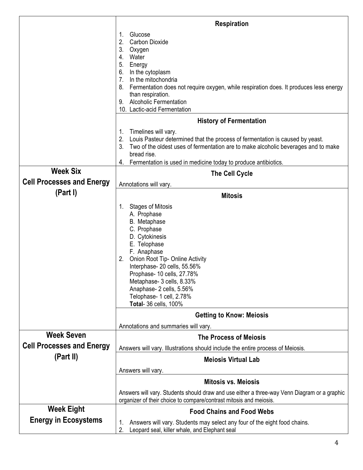|                                  | <b>Respiration</b>                                                                                                                                                                                                                                                                                                                                |
|----------------------------------|---------------------------------------------------------------------------------------------------------------------------------------------------------------------------------------------------------------------------------------------------------------------------------------------------------------------------------------------------|
|                                  | Glucose<br>1.<br>2.<br><b>Carbon Dioxide</b><br>3.<br>Oxygen<br>Water<br>4.<br>5.<br>Energy<br>In the cytoplasm<br>6.<br>In the mitochondria<br>7.<br>Fermentation does not require oxygen, while respiration does. It produces less energy<br>8.<br>than respiration.<br><b>Alcoholic Fermentation</b><br>9.<br>10. Lactic-acid Fermentation     |
|                                  | <b>History of Fermentation</b>                                                                                                                                                                                                                                                                                                                    |
|                                  | Timelines will vary.<br>1.<br>2.<br>Louis Pasteur determined that the process of fermentation is caused by yeast.<br>3.<br>Two of the oldest uses of fermentation are to make alcoholic beverages and to make<br>bread rise.<br>Fermentation is used in medicine today to produce antibiotics.<br>4.                                              |
| <b>Week Six</b>                  | <b>The Cell Cycle</b>                                                                                                                                                                                                                                                                                                                             |
| <b>Cell Processes and Energy</b> | Annotations will vary.                                                                                                                                                                                                                                                                                                                            |
| (Part I)                         | <b>Mitosis</b>                                                                                                                                                                                                                                                                                                                                    |
|                                  | <b>Stages of Mitosis</b><br>1.<br>A. Prophase<br>B. Metaphase<br>C. Prophase<br>D. Cytokinesis<br>E. Telophase<br>F. Anaphase<br>Onion Root Tip- Online Activity<br>2.<br>Interphase-20 cells, 55.56%<br>Prophase- 10 cells, 27.78%<br>Metaphase- 3 cells, 8.33%<br>Anaphase- 2 cells, 5.56%<br>Telophase- 1 cell, 2.78%<br>Total- 36 cells, 100% |
|                                  | <b>Getting to Know: Meiosis</b>                                                                                                                                                                                                                                                                                                                   |
| <b>Week Seven</b>                | Annotations and summaries will vary.                                                                                                                                                                                                                                                                                                              |
| <b>Cell Processes and Energy</b> | <b>The Process of Mejosis</b>                                                                                                                                                                                                                                                                                                                     |
| (Part II)                        | Answers will vary. Illustrations should include the entire process of Meiosis.                                                                                                                                                                                                                                                                    |
|                                  | <b>Meiosis Virtual Lab</b><br>Answers will vary.                                                                                                                                                                                                                                                                                                  |
|                                  | <b>Mitosis vs. Meiosis</b>                                                                                                                                                                                                                                                                                                                        |
|                                  | Answers will vary. Students should draw and use either a three-way Venn Diagram or a graphic<br>organizer of their choice to compare/contrast mitosis and meiosis.                                                                                                                                                                                |
| <b>Week Eight</b>                | <b>Food Chains and Food Webs</b>                                                                                                                                                                                                                                                                                                                  |
| <b>Energy in Ecosystems</b>      | Answers will vary. Students may select any four of the eight food chains.<br>1.<br>Leopard seal, killer whale, and Elephant seal<br>2.                                                                                                                                                                                                            |